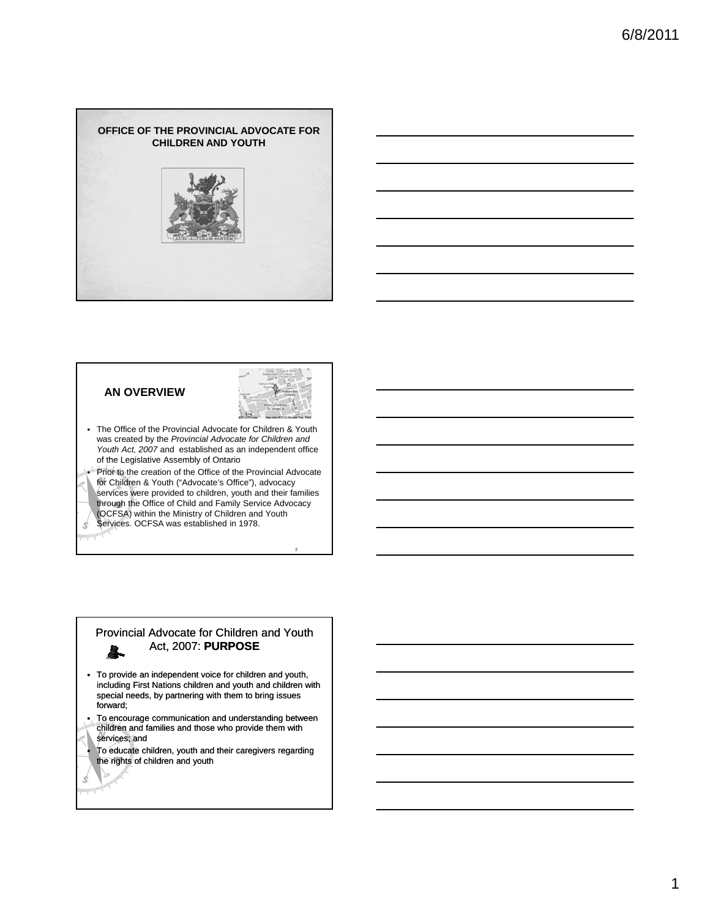



2

 The Office of the Provincial Advocate for Children & Youth was created by the *Provincial Advocate for Children and Youth Act, 2007* and established as an independent office

**AN OVERVIEW**

of the Legislative Assembly of Ontario of the Legislative Assembly of OntarioPrior to the creation of the Office of the Provincial Advocate for Children & Youth ("Advocate's Office"), advocacy services were provided to children, youth and their families through the Office of Child and Family Service Advocacy (OCFSA) within the Ministry of Children and Youth Services. OCFSA was established in 1978. Ś

#### Provincial Advocate for Children and Youth Act, 2007: **PURPOSE** 臯.

 To provide an independent voice for children and youth, including First Nations children and youth and children with special needs, by partnering with them to bring issues forward;

 $\blacksquare$  To encourage communication and understanding between children and families and those who provide them with

services; and

Ś 

 To educate children, youth and their caregivers regarding the rights of children and youth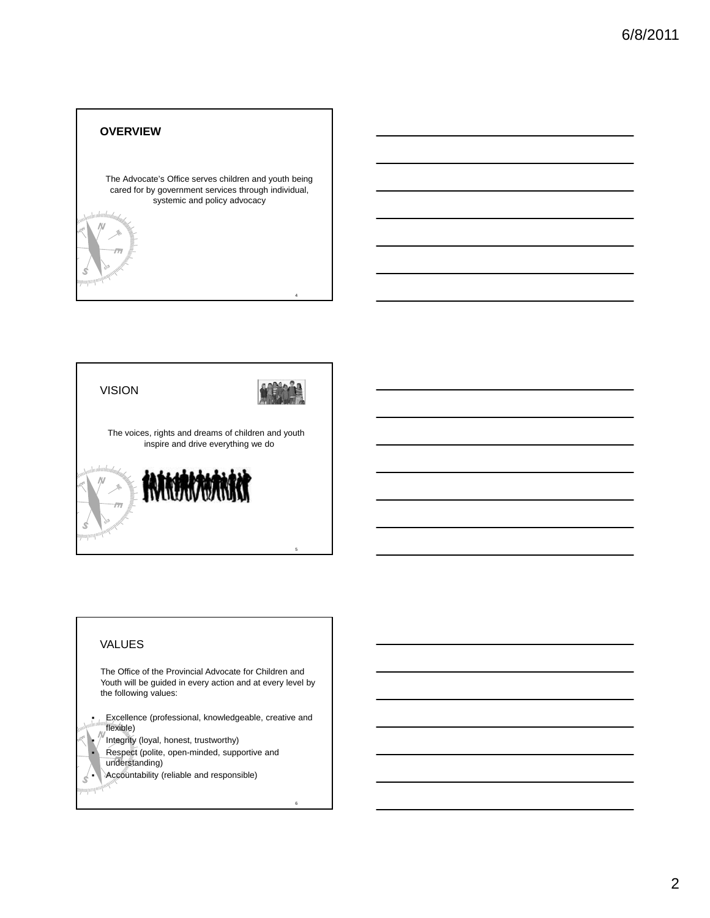## **OVERVIEW**

N

The Advocate's Office serves children and youth being cared for by government services through individual, systemic and policy advocacy ystemic and policy advocacy<br>  $\begin{aligned} \end{aligned}$ 



# VALUES

ympul<mark>i</mark>

The Office of the Provincial Advocate for Children and Youth will be guided in every action and at every level by the following values:

**Excellence (professional, knowledgeable, creative and** flexible)

6

Integrity (loyal, honest, trustworthy)<br>Respect (polite, open-minded, supp

 Respect (polite, open-minded, supportive and understanding)

**Accountability (reliable and responsible)**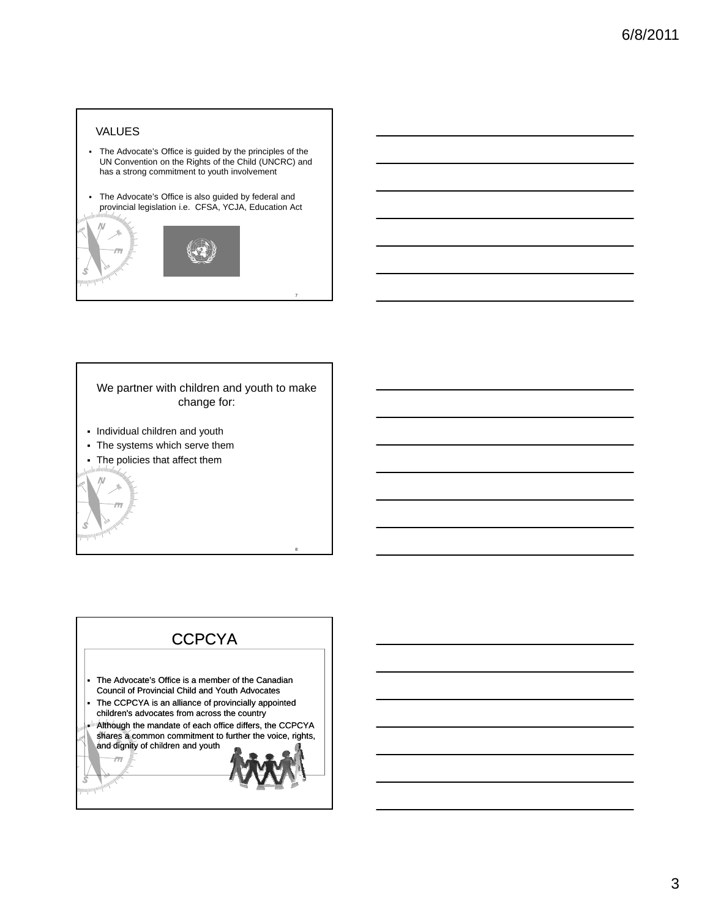# VALUES

- The Advocate's Office is guided by the principles of the UN Convention on the Rights of the Child (UNCRC) and has a strong commitment to youth involvement
- The Advocate's Office is also guided by federal and provincial legislation i.e. CFSA, YCJA, Education Act



We partner with children and youth to make change for:

8

- Individual children and youth
- The systems which serve them
- The policies that affect them The policies that affect

 $\mathcal{S}$ 

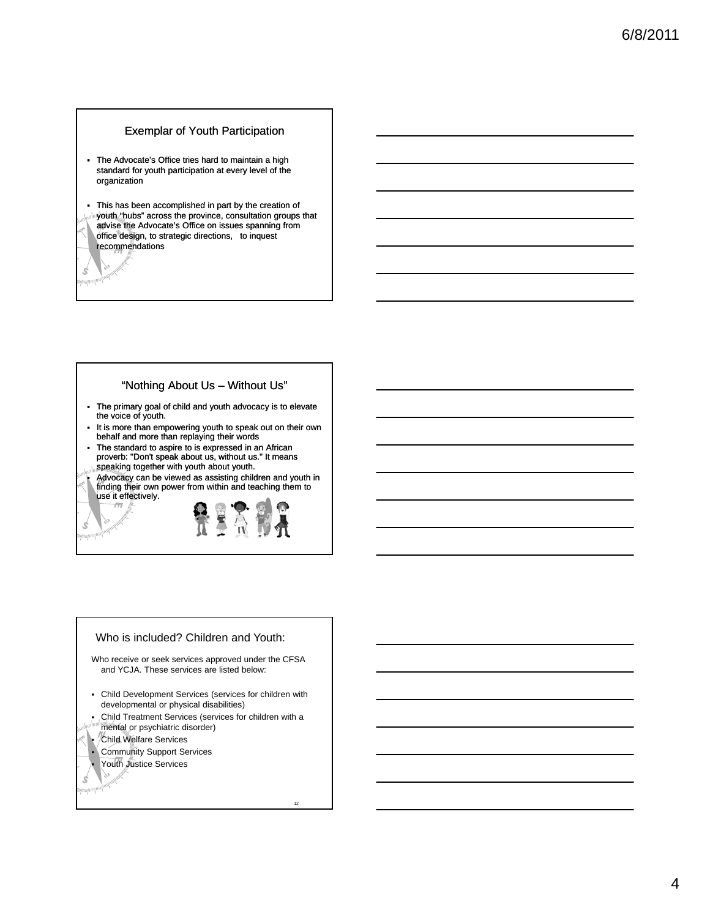#### Exemplar of Youth Participation

 The Advocate's Office tries hard to maintain a high standard for youth participation at every level of the organization

Ś ympoli<sup>no</sup>

Ś www.ma

- This has been accomplished in part by the creation of youth "hubs" across the province, consultation groups that advise the Advocate's Office on issues spanning from office design, to strategic directions, to inquest recommendations

#### "Nothing About Us – Without Us"

- The primary goal of child and youth advocacy is to elevate the voice of youth.
- It is more than empowering youth to speak out on their own behalf and more than replaying their words
- The standard to aspire to is expressed in an African<br>proverb: "Don't speak about us, without us." It means speaking together with youth about youth.
- Advocacy can be viewed as assisting children and youth in finding their own power from within and teaching them to use it effectively.

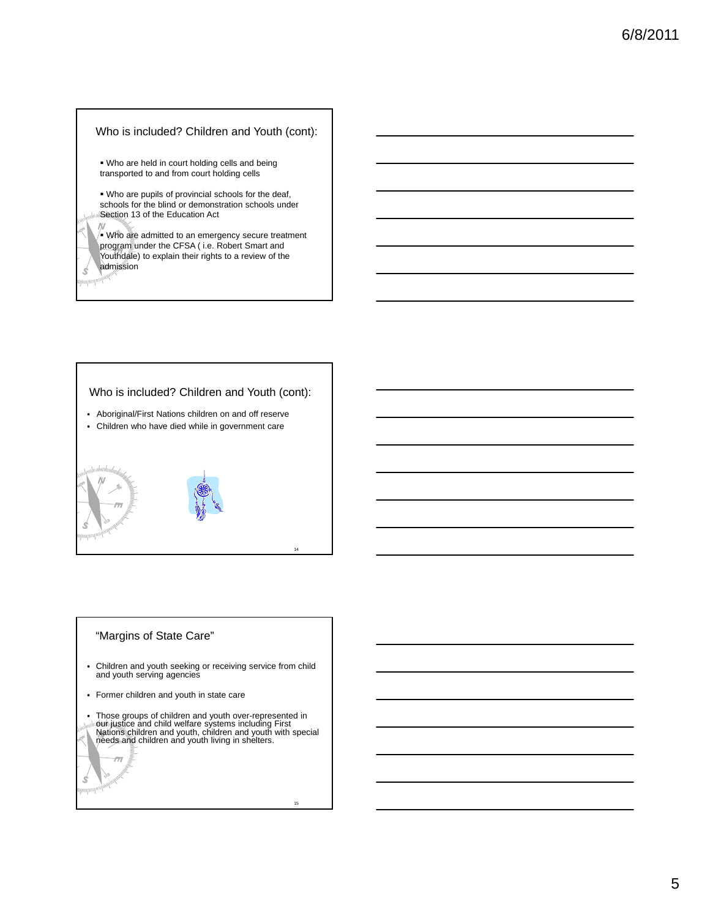### Who is included? Children and Youth (cont):

 Who are held in court holding cells and being transported to and from court holding cells

 Who are pupils of provincial schools for the deaf, schools for the blind or demonstration schools under schools for the blind or demonstration schools **Section 13 of the Education Act** 

 $\sqrt{\bullet}$  Who are admitted to an emergency secure treatment program under the CFSA ( i.e. Robert Smart and Youthdale) to explain their rights to a review of the admission

Ś ///////////////

#### Who is included? Children and Youth (cont):



#### "Margins of State Care"

Children and youth seeking or receiving service from child and youth serving agencies

Former children and youth in state care

 $\overline{\pi}$ 

Ś  $\left|\frac{1}{2}\right|$ 

• Those groups of children and youth over-represented in<br>
Illiour justice and child welfare systems including First<br>
→ Nations children and youth, children and youth with special<br>
→ needs and children and youth living in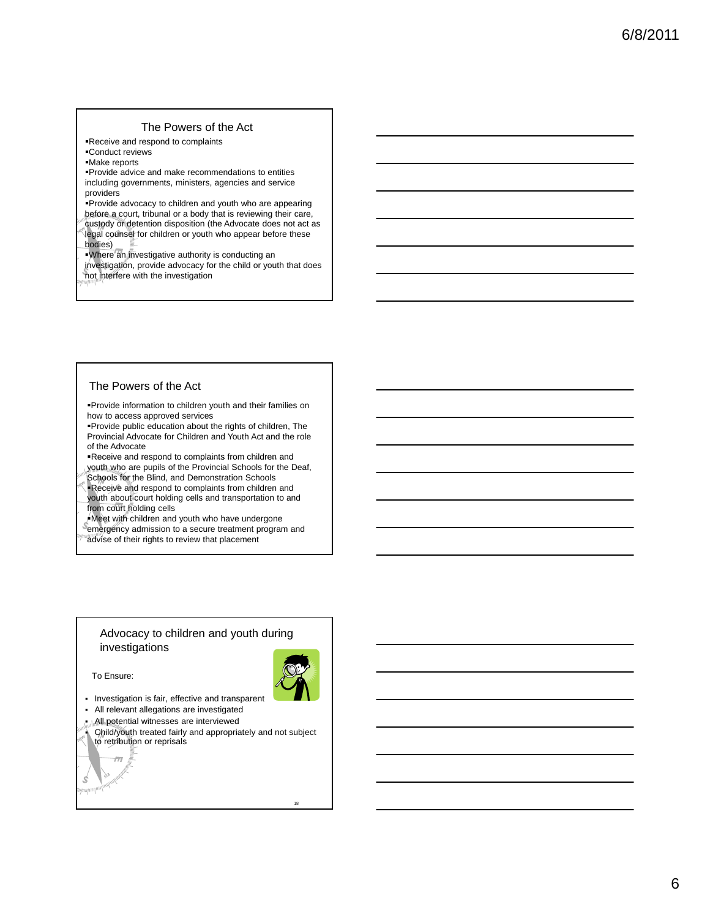# The Powers of the Act

Receive and respond to complaints

Conduct reviews

Make reports

Provide advice and make recommendations to entities including governments, ministers, agencies and service providers

Provide advocacy to children and youth who are appearing Provide advocacy to children and youth who are before a court, tribunal or a body that is reviewing their care, custody or detention disposition (the Advocate does not act as legal counsel for children or youth who appear before these bodies)

Where an investigative authority is conducting an investigation, provide advocacy for the child or youth that does not interfere with the investigation

## The Powers of the Act

Provide information to children youth and their families on how to access approved services

Provide public education about the rights of children, The Provincial Advocate for Children and Youth Act and the role of the Advocate

Receive and respond to complaints from children and Receive and respond to complaints from children youth who are pupils of the Provincial Schools for the Deaf,

Schools for the Blind, and Demonstration Schools

**Receive and respond to complaints from children and** youth about court holding cells and transportation to and from court holding cells

Meet with children and youth who have undergone

emergency admission to a secure treatment program and advise of their rights to review that placement

#### Advocacy to children and youth during investigations

To Ensure:

 $\overline{\pi}$ 

Ś mmull



18

- Investigation is fair, effective and transparent
- All relevant allegations are investigated

All potential witnesses are interviewed

 Child/youth treated fairly and appropriately and not subject to retribution or reprisals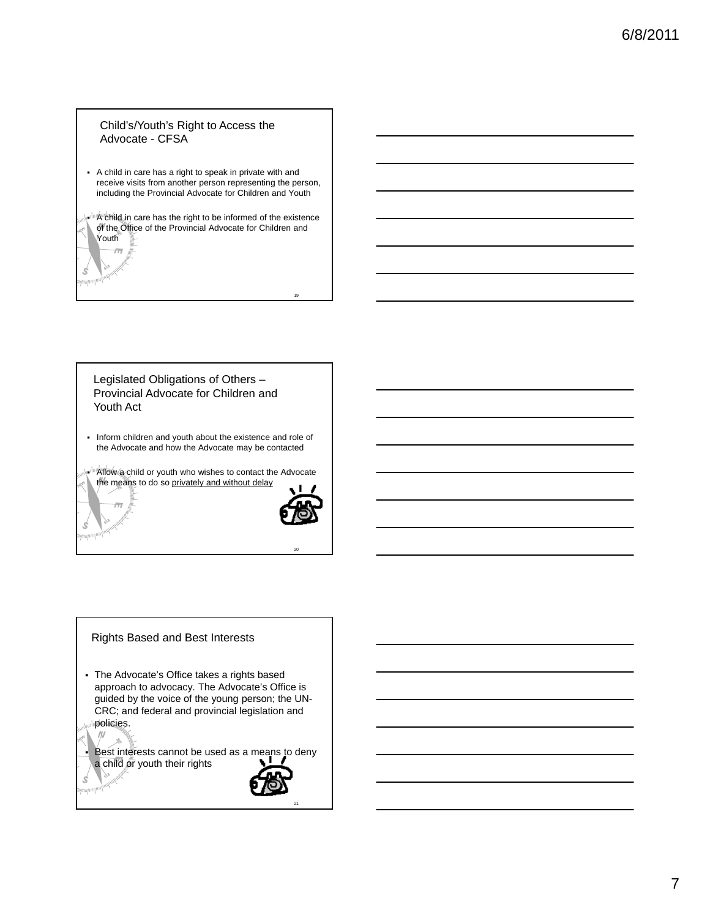## Child's/Youth's Right to Access the Advocate - CFSA

- A child in care has a right to speak in private with and receive visits from another person representing the person, including the Provincial Advocate for Children and Youth
- "A"child in care has the right to be informed of the existence of the Office of the Provincial Advocate for Children and Youth

 $\overline{m}$ 

Ś

Ś

 $\sqrt{M}$ 

Ś ympo<mark>n</mark>

Legislated Obligations of Others – Provincial Advocate for Children and Youth Act

 Inform children and youth about the existence and role of the Advocate and how the Advocate may be contacted

Allow a child or youth who wishes to contact the Advocate the means to do so privately and without delay



20

19

## Rights Based and Best Interests

 The Advocate's Office takes a rights based approach to advocacy. The Advocate's Office is guided by the voice of the young person; the UN-CRC; and federal and provincial legislation and CRC; and federal and provincial legislation policies.

Best interests cannot be used as a means to deny a child or youth their rights

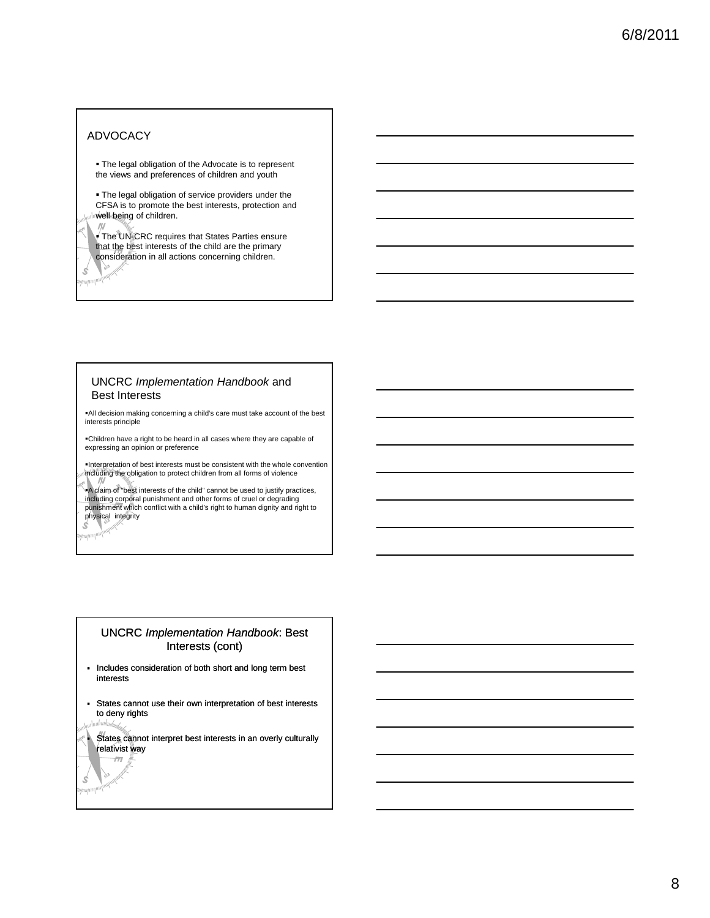# ADVOCACY

 $\overline{N}$ 

Ś /////////////////

upo

Ś  $2711111$ 

 The legal obligation of the Advocate is to represent the views and preferences of children and youth

 The legal obligation of service providers under the CFSA is to promote the best interests protection and CFSA is to promote the best interests, protection well being of children.

The UNECRC requires that States Parties ensure that the best interests of the child are the primary consideration in all actions concerning children.

#### UNCRC *Implementation Handbook* and Best Interests

All decision making concerning a child's care must take account of the best interests principle

Children have a right to be heard in all cases where they are capable of expressing an opinion or preference

Interpretation of best interests must be consistent with the whole convention including the obligation to protect children from all forms of violence

A claim of "best interests of the child" cannot be used to justify practices, including corporal punishment and other forms of cruel or degrading punishment which conflict with a child's right to human dignity and right to physical integrity S

## UNCRC *Implementation Handbook*: Best Interests (cont)

- Includes consideration of both short and long term best interests
- States cannot use their own interpretation of best interests to deny rights

States cannot interpret best interests in an overly culturally relativist way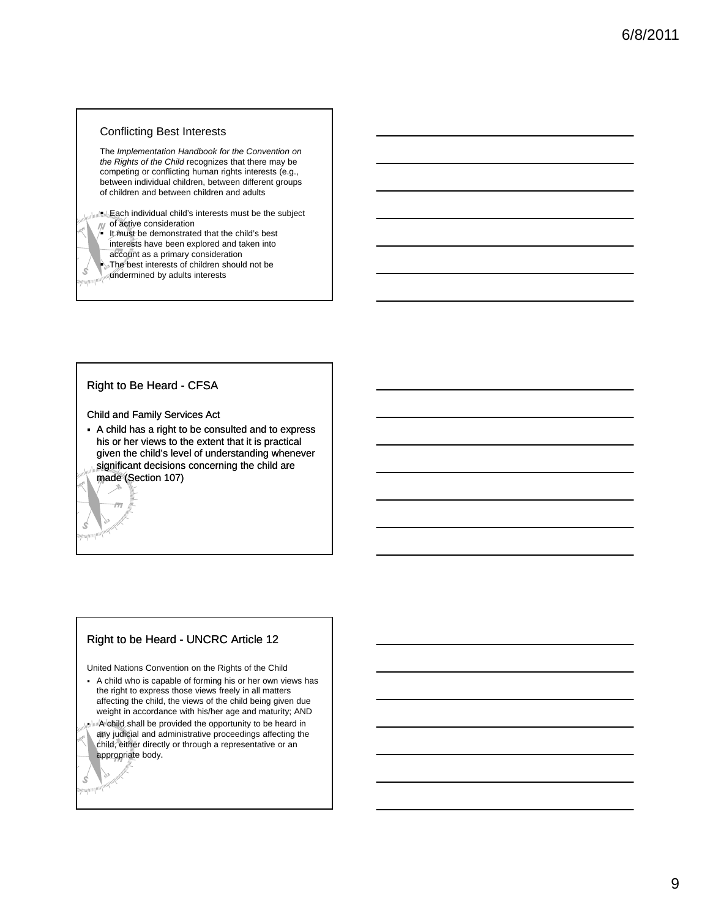#### Conflicting Best Interests

The *Implementation Handbook for the Convention on the Rights of the Child* recognizes that there may be competing or conflicting human rights interests (e.g., between individual children, between different groups of children and between children and adults

ull lucks ach individual child's interests must be the subject of active consideration

- It must be demonstrated that the child's best interests have been explored and taken into
- account as a primary consideration The best interests of children should not be
- undermined by adults interests

#### Right to Be Heard - CFSA

Ś

Ś

Ś 

Child and Family Services Act

 A child has a right to be consulted and to express his or her views to the extent that it is practical given the child's level of understanding whenever significant decisions concerning the child are made (Section 107)

#### Right to be Heard - UNCRC Article 12

United Nations Convention on the Rights of the Child

- A child who is capable of forming his or her own views has the right to express those views freely in all matters affecting the child, the views of the child being given due weight in accordance with his/her age and maturity; AND
- InnlA child shall be provided the opportunity to be heard in any judicial and administrative proceedings affecting the child, either directly or through a representative or an appropriate body.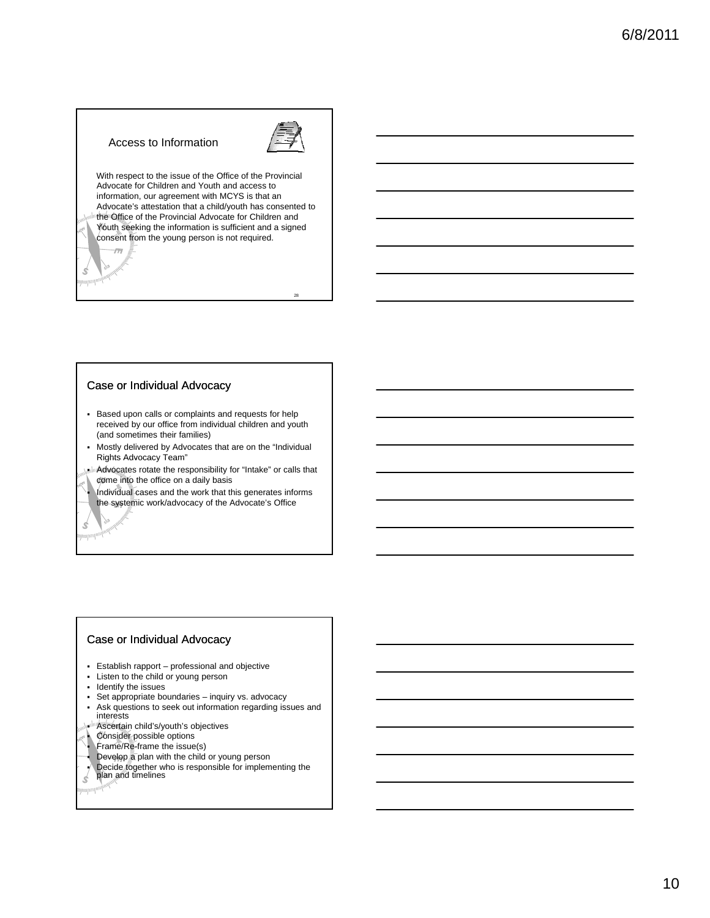## Access to Information



28

With respect to the issue of the Office of the Provincial Advocate for Children and Youth and access to information, our agreement with MCYS is that an Advocate's attestation that a child/youth has consented to the Office of the Provincial Advocate for Children and Youth seeking the information is sufficient and a signed consent from the young person is not required.  $\overline{m}$ 

#### Case or Individual Advocacy

Ś mmull<sup>i</sup>

Ś <sup>guupun</sup>in<sup>g</sup>

- Based upon calls or complaints and requests for help received by our office from individual children and youth (and sometimes their families)
- Mostly delivered by Advocates that are on the "Individual Rights Advocacy Team"
- ...In Advocates rotate the responsibility for "Intake" or calls that come into the office on a daily basis
- Individual cases and the work that this generates informs the systemic work/advocacy of the Advocate's Office

#### Case or Individual Advocacy

- Establish rapport professional and objective
- Listen to the child or young person
- **Identify the issues**
- Set appropriate boundaries inquiry vs. advocacy
- Ask questions to seek out information regarding issues and interests
- **Ascertain child's/youth's objectives**
- Consider possible options
- **Frame/Re-frame the issue(s)**
- Develop a plan with the child or young person
- **Decide together who is responsible for implementing the plan and timelines**
- 
- $\mathcal{L}$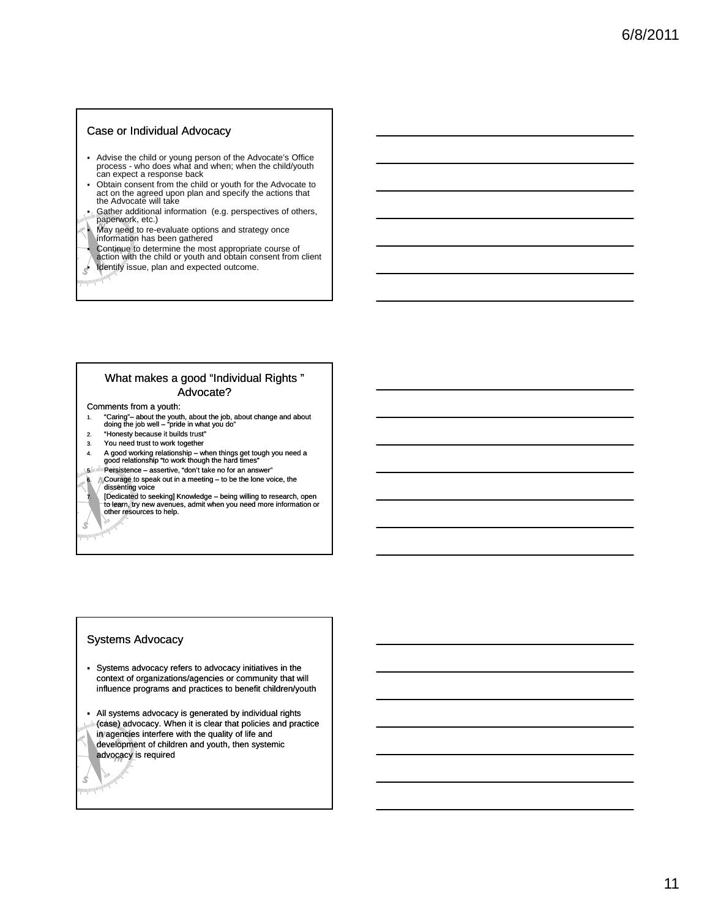#### Case or Individual Advocacy

- Advise the child or young person of the Advocate's Office process - who does what and when; when the child/youth can expect a response back
- Obtain consent from the child or youth for the Advocate to act on the agreed upon plan and specify the actions that the Advocate will take
- Gather additional information (e.g. perspectives of others, paperwork, etc.)
- May need to re-evaluate options and strategy once information has been gathered
- 
- Continue to determine the most appropriate course of action with the child or youth and obtain consent from client
- **Identify issue, plan and expected outcome.**

Ś 

Ś 

#### What makes a good "Individual Rights" Advocate?

#### Comments from a youth:

- 1. "Caring" about the youth, about the job, about change and about doing the job well "pride in what you do"
- 2. "Honesty because it builds trust"
- 3. You need trust to work together
- 4. A good working relationship when things get tough you need a good relationship "to work though the hard times"
- 
- 5. Persistence assertive, "don't take no for an answer"
- 6.  $\sqrt{\frac{1}{100}}$  Courage to speak out in a meeting to be the lone voice, the

7. (Dedicated to seeking] Knowledge – being willing to research, open<br>The learn, try new avenues, admit when you need more information or<br>other resources to help.

#### Systems Advocacy

 Systems advocacy refers to advocacy initiatives in the context of organizations/agencies or community that will influence programs and practices to benefit children/youth

- All systems advocacy is generated by individual rights (case) advocacy. When it is clear that policies and practice in agencies interfere with the quality of life and development of children and youth, then systemic advocacy is required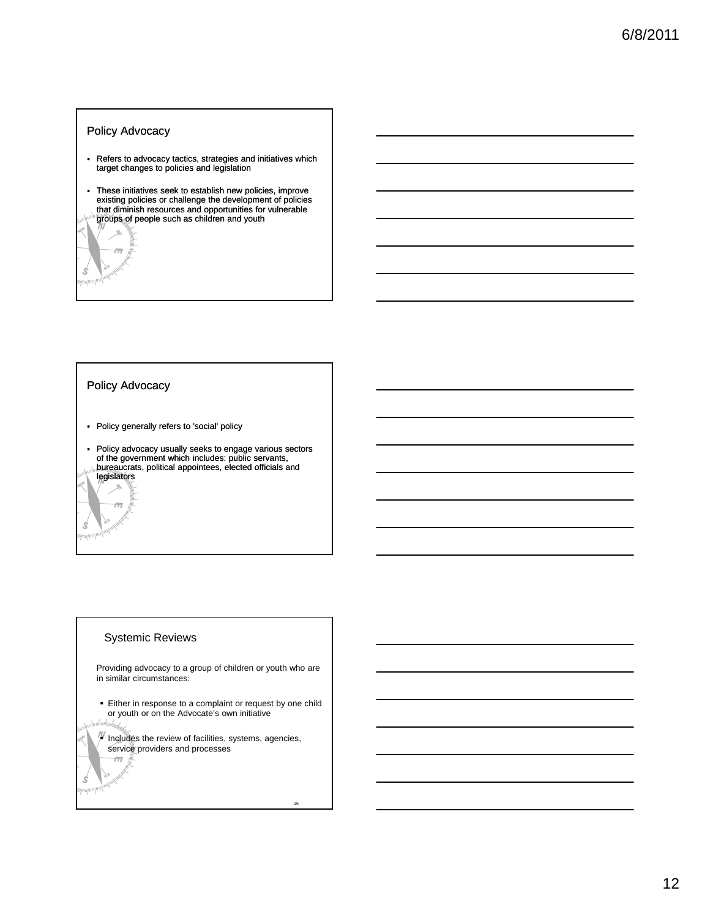## Policy Advocacy

 $\overline{m}$ 

Ś mijill

- Refers to advocacy tactics, strategies and initiatives which target changes to policies and legislation
- These initiatives seek to establish new policies, improve<br>existing policies or challenge the development of policies<br>that diminish resources and opportunities for vulnerable groups of people such as children and youth

#### Policy Advocacy

 $\frac{\mathcal{A}}{\mathcal{A}}$  $\overline{m}$ 

Ś www.

Ś ympu<mark>n</mark>

- Policy generally refers to 'social' policy
- Policy advocacy usually seeks to engage various sectors of the government which includes: public servants of the government which includes: public servants, bureaucrats, political appointees, elected officials and legislators

## Systemic Reviews

Providing advocacy to a group of children or youth who are in similar circumstances:

- **Either in response to a complaint or request by one child** or youth or on the Advocate's own initiative
- $\mathbb N$  Includes the review of facilities, systems, agencies, service providers and processes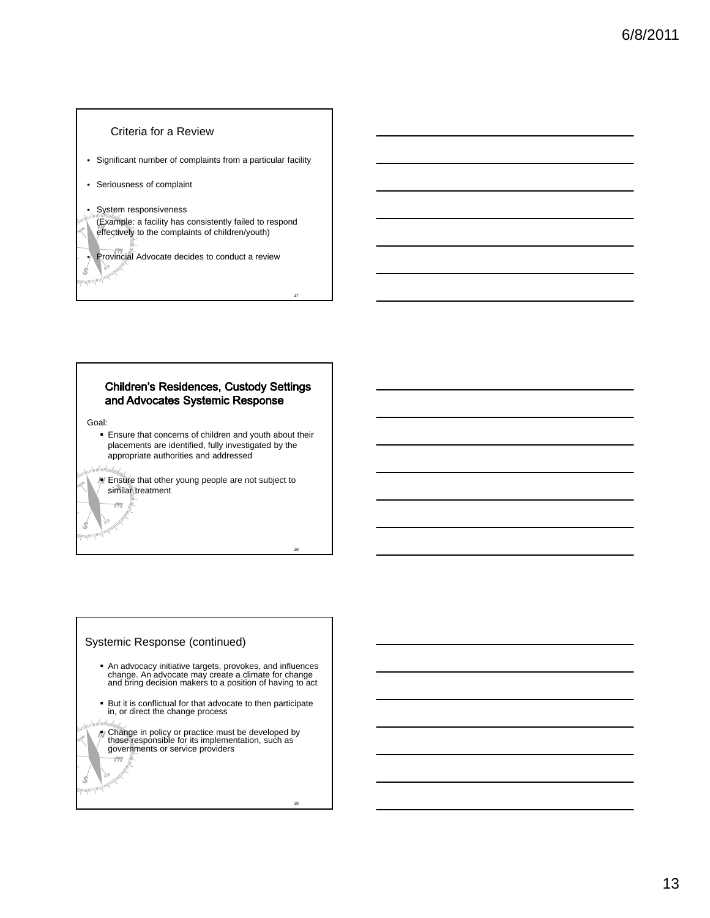#### Criteria for a Review

- Significant number of complaints from a particular facility
- Seriousness of complaint

#### System responsiveness

(Example: a facility has consistently failed to respond effectively to the complaints of children/youth)

Provincial Advocate decides to conduct a review

37

38

39

### **Children's Residences, Custody Settings** and Advocates Systemic Response

Goal:

 $\mathscr{L}$ *mp*ingw

> Ensure that concerns of children and youth about their placements are identified, fully investigated by the appropriate authorities and addressed

Ś ymputp<sup>ani)</sup>

Ś  $\left|\frac{1}{2}\right|$   $\overline{m}$ 

W Ensure that other young people are not subject to similar treatment

# Systemic Response (continued)

- An advocacy initiative targets, provokes, and influences change. An advocate may create a climate for change and bring decision makers to a position of having to act
- But it is conflictual for that advocate to then participate in, or direct the change process
- Change in policy or practice must be developed by those responsible for its implementation, such as governments or service providers  $\overline{m}$